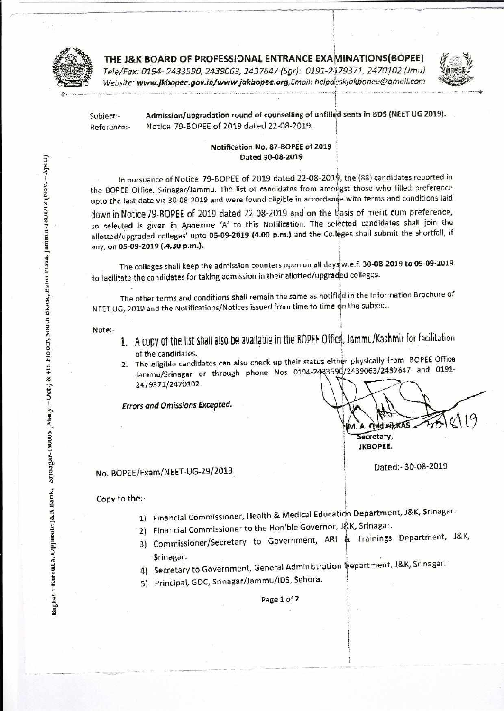

THE J&K BOARD OF PROFESSIONAL ENTRANCE EXAMINATIONS(BOPEE) Tele/Fax: 0194- 2433590, 2439063, 2437647 (Sgr): 0191-2479371, 2470102 (Jmu) Website: www.jkbopee.gov.in/www.jakbopee.org,Email: helpdeskjakbopee@gmail.com

**1** 



Subject:- Admission/upgradation round of counselling of unfilled seats in BDS (NEET UG 2019). Reference:- Notice 79-80PEE of 2019 dated 22-08-2019.

#### **Notification No. 87-BOPEE of 2019 Dated 30-08-2019**

In pursuance of Notice 79-BOPEE of 2019 dated 22-08-2010, the (88) candidates reported in the BOPEE Office, Srinagar/Jammu. The list of candidates from amongst those who filled preference upto the last date viz 30-08-2019 and were found eligible in accordance with terms and conditions laid

down in Notice 79-BOPEE of 2019 dated 22-08-2019 and on the thasis of merit cum preference, so selected is given in Annexure 'A' to this Notification. The selected candidates shall join the allotted/upgraded colleges' upto **05-09-2019 (4.00 p.m.)** and the Colleges shall submit the shortfall, if any, on **05-09-2019 (.4,30 p.m.).** 

**1**  The colleges shall keep the admission counters open on all daysi w.e.f. **30-08-2019 to 05-09-2019**  to facilitate the candidates for taking admission in their allotted/upgradied colleges.

The other terms and conditions shall remain the same as notified in the Information Brochure of NEET UG, 2019 and the Notifications/Notices issued from time to time on the subject.

Note:-

- of the candidates. 1. A copy of the list shall also be available in the BORE Office, Jammu/Kashmir for facilitation
- z 2. The eligible candidates can also check up their status either physically from BOPEE Office<br>E Jammu/Srinagar or through phone Nos 0194-2433590/2439063/2437647 and 0191--.••• 2479371/2470102.

Errors and Omissions **Excepted.** 

Tr19 Qudiri), KA Secretary, **JKBOPEE.** 

Dated:- 30-08-2019

## No. BOPEE/Exam/NEET-UG-29/2019

### Copy to the:-

- 1) Financial Commissioner, Health & Medical Education Department, J&K, Srinagar.
- 2) Financial Commissioner to the Hon'ble Governor, J&K, Srinagar.
- 3) Commissioner/Secretary to Government, ARI & Trainings Department, J&K, Srinagar.
- 4) Secretary to Government, General Administration Department, J&K, Srinagar.
- 5) Principal, GDC, Srinagar/Jammu/IDS, Sehora.

Page 1 of **2**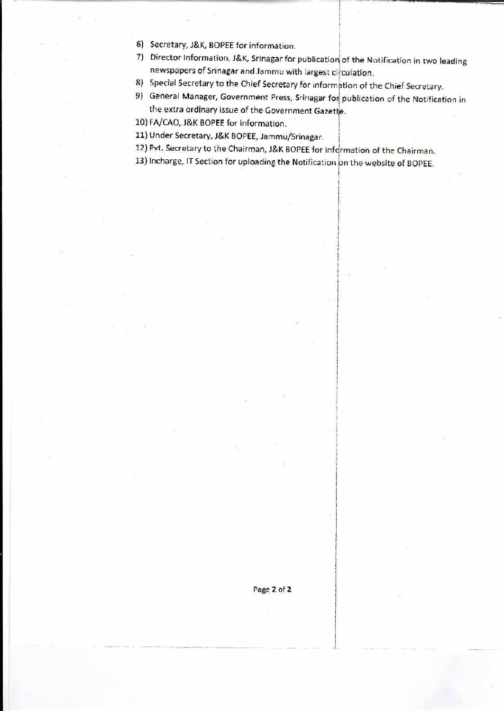- 6) Secretary, J&K, BOPEE for information.
- 7) Director Information, J&K, Srinagar for publication of the Notification in two leading newspapers of Srinagar and Jammu with largest circulation.
- 8) Special Secretary to the Chief Secretary for informption of the Chief Secretary.
- 9) General Manager, Government Press, Srinagar for publication of the Notification in the extra ordinary issue of the Government Gazette.
- 10) FA/CAO, J&K BOPEE for information.
- 11) Under Secretary, J&K BOPEE, Jammu/Srinagar.
- 12) Pvt. Secretary to the Chairman, J&K BOPEE for infqrmation of the Chairman.
- 13) Incharge, IT Section for uploading the Notification on the website of BOPEE.

Page 2 of 2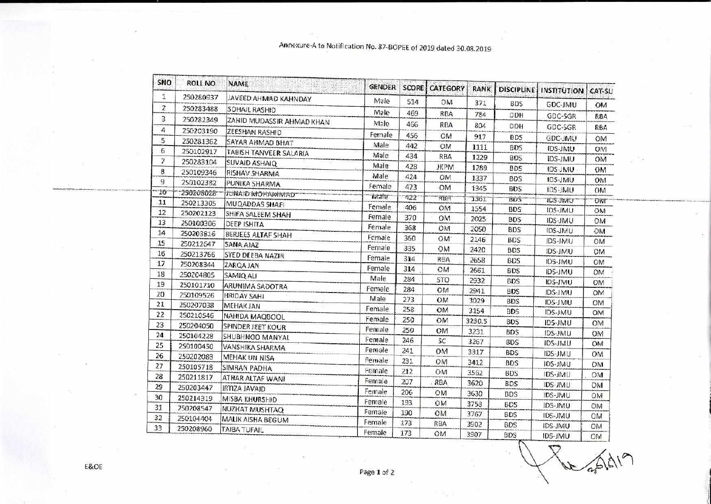# Annexure-A to Notification No. 87-BOPEE of 2019 dated 30.08.2019

| SNO            | <b>ROLL NO</b>         | NAME                      | <b>GENDER</b> | <b>SCORE!</b> | <b>CATEGORY</b> | <b>RANK</b> | <b>DISCIPLINE</b> | <b>INSTITUTION</b> | CAT-SLI   |
|----------------|------------------------|---------------------------|---------------|---------------|-----------------|-------------|-------------------|--------------------|-----------|
| 1              | 250280937              | JAVEED AHMAD KAHNDAY      | Male          | 514           | OM              | 371         | <b>BDS</b>        |                    |           |
| $\overline{z}$ | 250283488              | SOHAIL RASHID             | Male          | 469           | <b>RBA</b>      |             |                   | <b>GDC-JMU</b>     | <b>OM</b> |
| 3              | 250282349              | ZAHID MUDASSIR AHMAD KHAN | Male          | 466           |                 | 784         | DDH               | GDC-SGR            | RBA       |
| 4              | 250203190              | ZEESHAN RASHID            |               |               | RBA             | 804         | DDH               | GDC-SGR            | RBA       |
| 5              | 250281362              | SAYAR AHMAD BHAT          | Female        | 456           | OM              | 917         | <b>BDS</b>        | GDC-JMU            | OM        |
| 6              | 250102917              | TABISH TANVEER SALARIA    | Male          | 442           | OM              | 1111        | <b>BDS</b>        | IDS-JMU            | OM        |
| 7              | 250283104              | SUVAID ASHAIQ             | Male          | 434           | RBA             | 1229        | <b>BDS</b>        | <b>IDS-JMU</b>     | OM        |
| 8              | 250109346              | RISHAV SHARMA             | Male          | 428           | <b>JKPM</b>     | 1289        | <b>BDS</b>        | IDS-JMU            | OM        |
| 9              | 250102382              | PUNIKA SHARMA             | Male          | 424           | OM              | 1337        | <b>BDS</b>        | IDS-JMU            | <b>OM</b> |
| $-16$          | 250208028              | <b>JUNAIO MOHAMMAD</b>    | Female        | 423           | <b>OM</b>       | 1345        | <b>BDS</b>        | IDS-JMU            | ОМ        |
| 11             | 250213305              | MUQADDAS SHAFI            | ivrate        | 422           | RBA             | 1361        | <b>BDS</b>        | TUS-JIVIU          | Oivi      |
| 12             | 250202123              | SHIFA SALEEM SHAH         | Female        | 406           | OM              | 1554        | <b>BDS</b>        | IDS-JMU            | OM        |
| 13             | 250100306              | DEEP ISHITA               | Female        | 370           | OM              | 2025        | <b>BDS</b>        | <b>IDS-JMU</b>     | OM        |
| 14             | 250203816              | BERJEES ALTAF SHAH        | Female        | 368           | OM              | 2050        | <b>BDS</b>        | IDS-JMU            | OM        |
| 15             | 250212647              | SANA AJAZ                 | Female        | 360           | OM:             | 2146        | <b>BDS</b>        | IDS-JMU            | OM        |
| 16             | 250213766              | SYED DEEBA NAZIR          | Female        | 335           | <b>OM</b>       | 2420        | <b>BDS</b>        | IDS-JMU            | OM        |
| 17             | 250208344              | ZARQA JAN                 | Female        | 314           | RBA             | 2658        | <b>BDS</b>        | <b>IDS-JMU</b>     | OM        |
| 18             | 250204805              | SAMIQ ALI                 | Female        | 314           | OM              | 2661        | <b>BDS</b>        | <b>IDS-JMU</b>     | OM        |
| 19             | 250101710              | ARUNIMA SADOTRA           | Male          | 284           | <b>STO</b>      | 2932        | <b>BDS</b>        | IDS-JMU            | <b>OM</b> |
| 20             | 250109526              | <b>HRIDAY SAHI</b>        | Female        | 284           | OM              | 2941        | <b>BDS</b>        | IDS-JMU            | OM        |
| 21             | 250207038              | <b>MEHAKJAN</b>           | Male          | 273           | OM              | 3029        | <b>BDS</b>        | IDS-JMU            | <b>OM</b> |
| 22             | 250210546              | NAHIDA MAQBOOL            | Female        | 258           | OM              | 3154        | <b>BDS</b>        | IDS-JMU            | OM        |
| 23             | 250204050              | SPINDER JEET KOUR         | Female        | 250           | OM              | 3230.5      | <b>BDS</b>        | IDS-JMU            | OM        |
| 24             | 250104228              | SHUBHNOO MANYAL           | Female        | 250           | OM              | 3231        | <b>BDS</b>        | IDS-JMU            | <b>ON</b> |
| 25             | 250100450              | <b>VANSHIKA SHARMA</b>    | Female        | 246           | SC.             | 3267        | <b>BDS</b>        | IDS-JMU            | OM        |
| 26             | 250202088              | MEHAK UN NISA             | Female        | 241           | OM              | 3317        | <b>BDS</b>        | IDS-JMU            | OM        |
| 27             | 250105718              | SIMRAN PADHA              | Female        | 231           | OM              | 3412        | <b>BDS</b>        | IDS-JMU            | <b>OM</b> |
| 28             | 250211817              |                           | Female        | 212           | OМ              | 3562        | <b>BDS</b>        | IDS-JMU            | <b>DM</b> |
| 29             | 250203447              | ATHAR ALTAF WANI          | Female        | 207           | RBA             | 3620        | <b>BDS</b>        | IDS-JMU            | OM        |
| 30             |                        | IRTIZA JAVAJD             | Female        | 206           | <b>OM</b>       | 3630        | <b>BDS</b>        | IDS-JMU            | ОM        |
| 31             | 250214319<br>250208547 | MISBA KHURSHID            | Female        | 193           | OM              | 3753        | <b>BDS</b>        | IDS-JMU            | <b>OM</b> |
| 32             | 250104404              | NUZHAT MUSHTAQ            | Female        | 190           | OM              | 3767        | <b>BDS</b>        | IDS-JMU            | MO        |
| 33             | 250208960              | MALIK AISHA BEGUM         | Female        | 173           | RBA             | 3902        | <b>BDS</b>        | IDS-JMU            | <b>OM</b> |
|                |                        | <b>TAIBA TUFAIL</b>       | Female        | 173           | OM              | 3907        | <b>BDS</b>        | IDS-JMU            | <b>OM</b> |

 $a^2$ 

- 28

E&OE